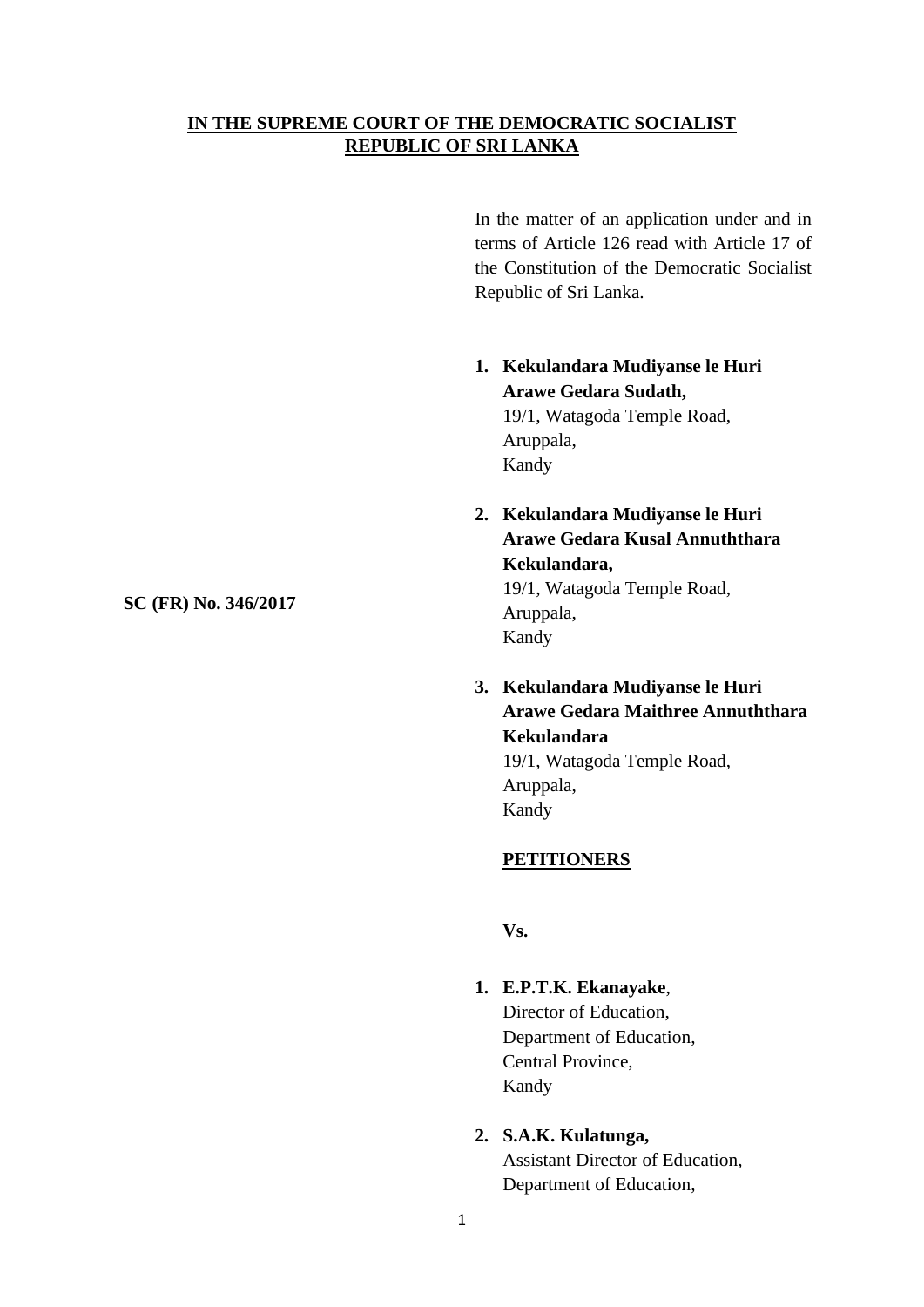# **IN THE SUPREME COURT OF THE DEMOCRATIC SOCIALIST REPUBLIC OF SRI LANKA**

In the matter of an application under and in terms of Article 126 read with Article 17 of the Constitution of the Democratic Socialist Republic of Sri Lanka.

- **1. Kekulandara Mudiyanse le Huri Arawe Gedara Sudath,** 19/1, Watagoda Temple Road, Aruppala, Kandy
- **2. Kekulandara Mudiyanse le Huri Arawe Gedara Kusal Annuththara Kekulandara,**

19/1, Watagoda Temple Road, Aruppala, Kandy

**3. Kekulandara Mudiyanse le Huri Arawe Gedara Maithree Annuththara Kekulandara**

19/1, Watagoda Temple Road, Aruppala, Kandy

# **PETITIONERS**

**Vs.**

Kandy

- **1. E.P.T.K. Ekanayake**, Director of Education, Department of Education, Central Province,
- **2. S.A.K. Kulatunga,**

Assistant Director of Education, Department of Education,

**SC (FR) No. 346/2017**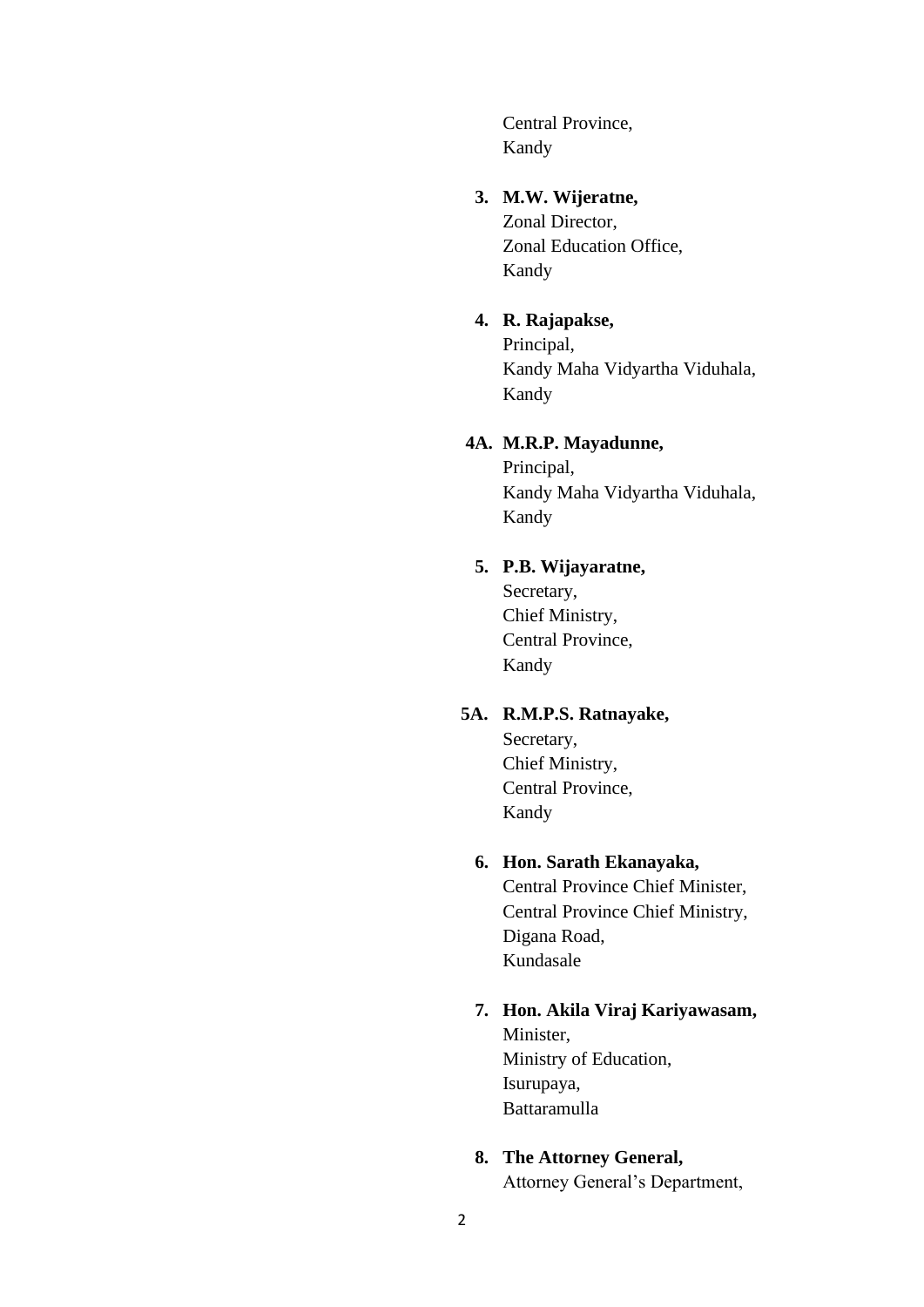Central Province, Kandy

## **3. M.W. Wijeratne,**

Zonal Director, Zonal Education Office, Kandy

# **4. R. Rajapakse,**

Principal, Kandy Maha Vidyartha Viduhala, Kandy

# **4A. M.R.P. Mayadunne,**

Principal, Kandy Maha Vidyartha Viduhala, Kandy

## **5. P.B. Wijayaratne,**

Secretary, Chief Ministry, Central Province, Kandy

# **5A. R.M.P.S. Ratnayake,**

Secretary, Chief Ministry, Central Province, Kandy

# **6. Hon. Sarath Ekanayaka,**

Central Province Chief Minister, Central Province Chief Ministry, Digana Road, Kundasale

## **7. Hon. Akila Viraj Kariyawasam,**

Minister, Ministry of Education, Isurupaya, Battaramulla

## **8. The Attorney General,**

Attorney General's Department,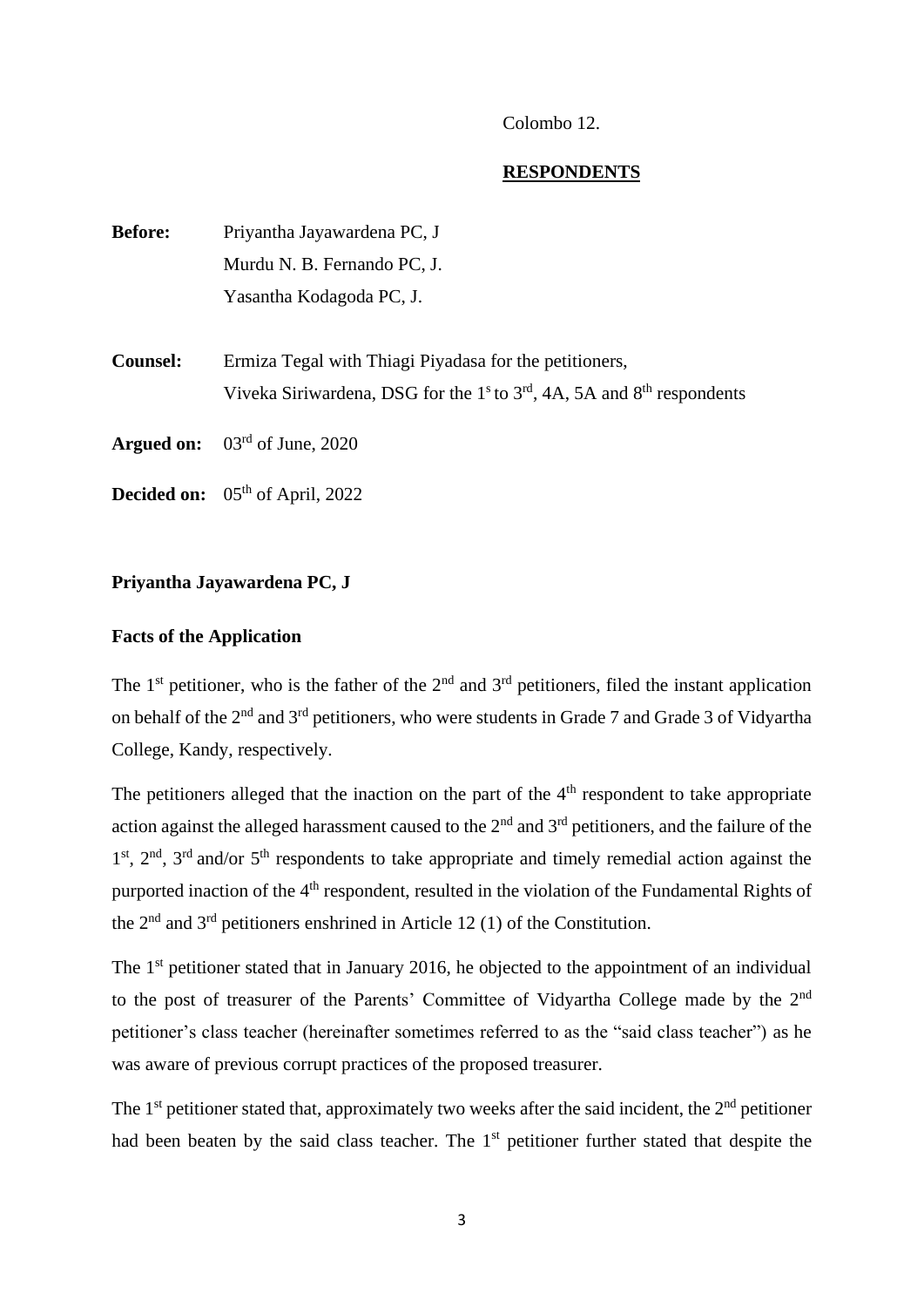#### Colombo 12.

#### **RESPONDENTS**

| <b>Before:</b>  | Priyantha Jayawardena PC, J                                                  |
|-----------------|------------------------------------------------------------------------------|
|                 | Murdu N. B. Fernando PC, J.                                                  |
|                 | Yasantha Kodagoda PC, J.                                                     |
|                 |                                                                              |
| <b>Counsel:</b> | Ermiza Tegal with Thiagi Piyadasa for the petitioners,                       |
|                 | Viveka Siriwardena, DSG for the $1s$ to $3rd$ , 4A, 5A and $8th$ respondents |
|                 | <b>Argued on:</b> $03^{\text{rd}}$ of June, 2020                             |
|                 | <b>Decided on:</b> $05th$ of April, 2022                                     |

#### **Priyantha Jayawardena PC, J**

# **Facts of the Application**

The 1<sup>st</sup> petitioner, who is the father of the  $2<sup>nd</sup>$  and  $3<sup>rd</sup>$  petitioners, filed the instant application on behalf of the 2<sup>nd</sup> and 3<sup>rd</sup> petitioners, who were students in Grade 7 and Grade 3 of Vidyartha College, Kandy, respectively.

The petitioners alleged that the inaction on the part of the  $4<sup>th</sup>$  respondent to take appropriate action against the alleged harassment caused to the  $2<sup>nd</sup>$  and  $3<sup>rd</sup>$  petitioners, and the failure of the 1<sup>st</sup>, 2<sup>nd</sup>, 3<sup>rd</sup> and/or 5<sup>th</sup> respondents to take appropriate and timely remedial action against the purported inaction of the 4<sup>th</sup> respondent, resulted in the violation of the Fundamental Rights of the  $2<sup>nd</sup>$  and  $3<sup>rd</sup>$  petitioners enshrined in Article 12 (1) of the Constitution.

The 1<sup>st</sup> petitioner stated that in January 2016, he objected to the appointment of an individual to the post of treasurer of the Parents' Committee of Vidyartha College made by the 2<sup>nd</sup> petitioner's class teacher (hereinafter sometimes referred to as the "said class teacher") as he was aware of previous corrupt practices of the proposed treasurer.

The  $1<sup>st</sup>$  petitioner stated that, approximately two weeks after the said incident, the  $2<sup>nd</sup>$  petitioner had been beaten by the said class teacher. The  $1<sup>st</sup>$  petitioner further stated that despite the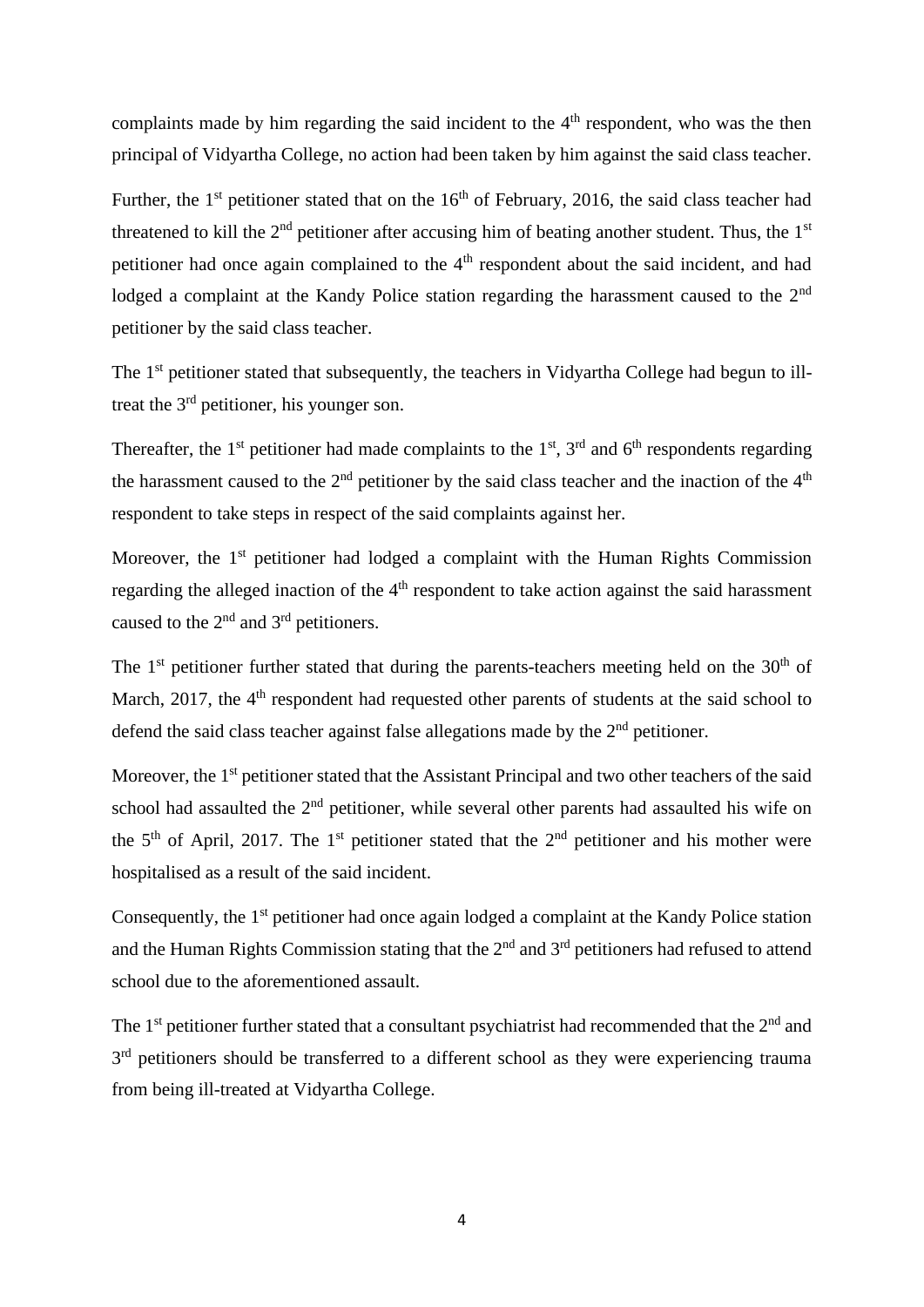complaints made by him regarding the said incident to the  $4<sup>th</sup>$  respondent, who was the then principal of Vidyartha College, no action had been taken by him against the said class teacher.

Further, the  $1<sup>st</sup>$  petitioner stated that on the  $16<sup>th</sup>$  of February, 2016, the said class teacher had threatened to kill the  $2<sup>nd</sup>$  petitioner after accusing him of beating another student. Thus, the  $1<sup>st</sup>$ petitioner had once again complained to the 4<sup>th</sup> respondent about the said incident, and had lodged a complaint at the Kandy Police station regarding the harassment caused to the 2<sup>nd</sup> petitioner by the said class teacher.

The 1<sup>st</sup> petitioner stated that subsequently, the teachers in Vidyartha College had begun to illtreat the 3<sup>rd</sup> petitioner, his younger son.

Thereafter, the  $1<sup>st</sup>$  petitioner had made complaints to the  $1<sup>st</sup>$ ,  $3<sup>rd</sup>$  and  $6<sup>th</sup>$  respondents regarding the harassment caused to the  $2<sup>nd</sup>$  petitioner by the said class teacher and the inaction of the  $4<sup>th</sup>$ respondent to take steps in respect of the said complaints against her.

Moreover, the  $1<sup>st</sup>$  petitioner had lodged a complaint with the Human Rights Commission regarding the alleged inaction of the 4<sup>th</sup> respondent to take action against the said harassment caused to the  $2<sup>nd</sup>$  and  $3<sup>rd</sup>$  petitioners.

The  $1<sup>st</sup>$  petitioner further stated that during the parents-teachers meeting held on the  $30<sup>th</sup>$  of March, 2017, the 4<sup>th</sup> respondent had requested other parents of students at the said school to defend the said class teacher against false allegations made by the  $2<sup>nd</sup>$  petitioner.

Moreover, the 1<sup>st</sup> petitioner stated that the Assistant Principal and two other teachers of the said school had assaulted the  $2<sup>nd</sup>$  petitioner, while several other parents had assaulted his wife on the  $5<sup>th</sup>$  of April, 2017. The 1<sup>st</sup> petitioner stated that the  $2<sup>nd</sup>$  petitioner and his mother were hospitalised as a result of the said incident.

Consequently, the 1<sup>st</sup> petitioner had once again lodged a complaint at the Kandy Police station and the Human Rights Commission stating that the  $2<sup>nd</sup>$  and  $3<sup>rd</sup>$  petitioners had refused to attend school due to the aforementioned assault.

The  $1<sup>st</sup>$  petitioner further stated that a consultant psychiatrist had recommended that the  $2<sup>nd</sup>$  and  $3<sup>rd</sup>$  petitioners should be transferred to a different school as they were experiencing trauma from being ill-treated at Vidyartha College.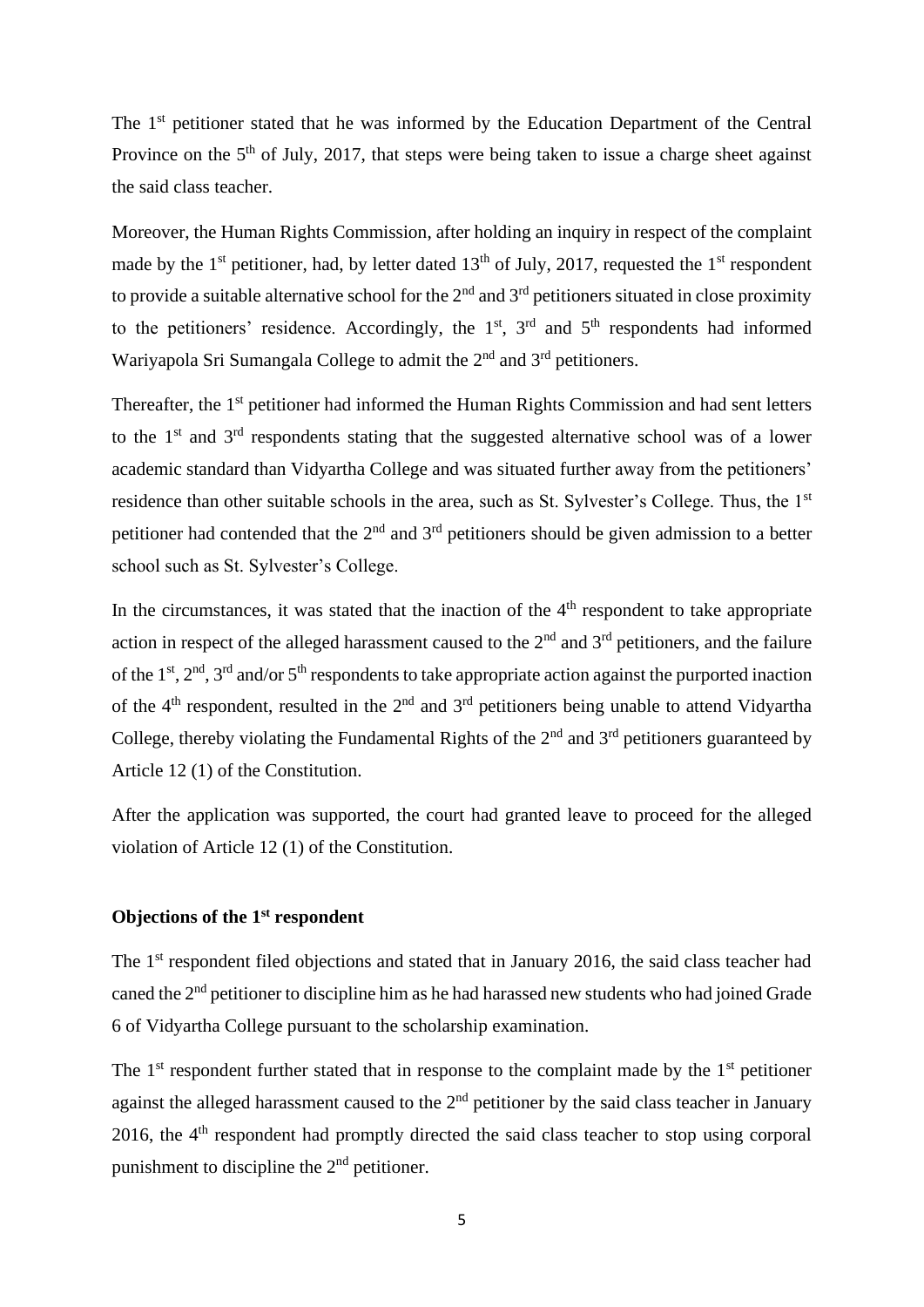The 1<sup>st</sup> petitioner stated that he was informed by the Education Department of the Central Province on the 5<sup>th</sup> of July, 2017, that steps were being taken to issue a charge sheet against the said class teacher.

Moreover, the Human Rights Commission, after holding an inquiry in respect of the complaint made by the 1<sup>st</sup> petitioner, had, by letter dated 13<sup>th</sup> of July, 2017, requested the 1<sup>st</sup> respondent to provide a suitable alternative school for the  $2<sup>nd</sup>$  and  $3<sup>rd</sup>$  petitioners situated in close proximity to the petitioners' residence. Accordingly, the  $1<sup>st</sup>$ ,  $3<sup>rd</sup>$  and  $5<sup>th</sup>$  respondents had informed Wariyapola Sri Sumangala College to admit the 2<sup>nd</sup> and 3<sup>rd</sup> petitioners.

Thereafter, the 1<sup>st</sup> petitioner had informed the Human Rights Commission and had sent letters to the  $1<sup>st</sup>$  and  $3<sup>rd</sup>$  respondents stating that the suggested alternative school was of a lower academic standard than Vidyartha College and was situated further away from the petitioners' residence than other suitable schools in the area, such as St. Sylvester's College. Thus, the 1<sup>st</sup> petitioner had contended that the  $2<sup>nd</sup>$  and  $3<sup>rd</sup>$  petitioners should be given admission to a better school such as St. Sylvester's College.

In the circumstances, it was stated that the inaction of the  $4<sup>th</sup>$  respondent to take appropriate action in respect of the alleged harassment caused to the  $2<sup>nd</sup>$  and  $3<sup>rd</sup>$  petitioners, and the failure of the  $1<sup>st</sup>$ ,  $2<sup>nd</sup>$ ,  $3<sup>rd</sup>$  and/or  $5<sup>th</sup>$  respondents to take appropriate action against the purported inaction of the  $4<sup>th</sup>$  respondent, resulted in the  $2<sup>nd</sup>$  and  $3<sup>rd</sup>$  petitioners being unable to attend Vidyartha College, thereby violating the Fundamental Rights of the  $2<sup>nd</sup>$  and  $3<sup>rd</sup>$  petitioners guaranteed by Article 12 (1) of the Constitution.

After the application was supported, the court had granted leave to proceed for the alleged violation of Article 12 (1) of the Constitution.

#### **Objections of the 1st respondent**

The 1<sup>st</sup> respondent filed objections and stated that in January 2016, the said class teacher had caned the  $2<sup>nd</sup>$  petitioner to discipline him as he had harassed new students who had joined Grade 6 of Vidyartha College pursuant to the scholarship examination.

The  $1<sup>st</sup>$  respondent further stated that in response to the complaint made by the  $1<sup>st</sup>$  petitioner against the alleged harassment caused to the 2<sup>nd</sup> petitioner by the said class teacher in January 2016, the  $4<sup>th</sup>$  respondent had promptly directed the said class teacher to stop using corporal punishment to discipline the  $2<sup>nd</sup>$  petitioner.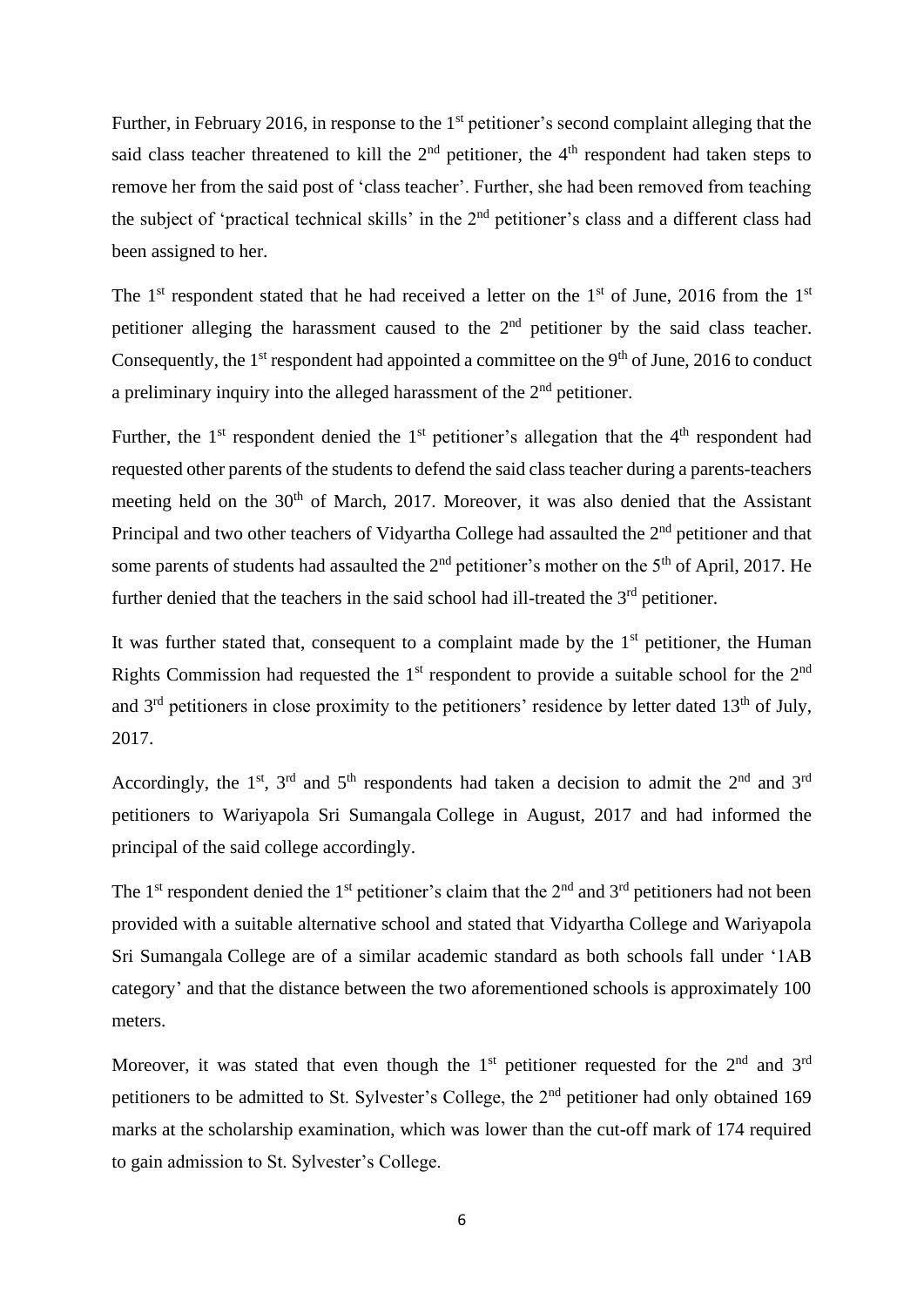Further, in February 2016, in response to the  $1<sup>st</sup>$  petitioner's second complaint alleging that the said class teacher threatened to kill the  $2<sup>nd</sup>$  petitioner, the 4<sup>th</sup> respondent had taken steps to remove her from the said post of 'class teacher'. Further, she had been removed from teaching the subject of 'practical technical skills' in the 2<sup>nd</sup> petitioner's class and a different class had been assigned to her.

The  $1<sup>st</sup>$  respondent stated that he had received a letter on the  $1<sup>st</sup>$  of June, 2016 from the  $1<sup>st</sup>$ petitioner alleging the harassment caused to the  $2<sup>nd</sup>$  petitioner by the said class teacher. Consequently, the  $1<sup>st</sup>$  respondent had appointed a committee on the  $9<sup>th</sup>$  of June, 2016 to conduct a preliminary inquiry into the alleged harassment of the 2nd petitioner.

Further, the  $1<sup>st</sup>$  respondent denied the  $1<sup>st</sup>$  petitioner's allegation that the  $4<sup>th</sup>$  respondent had requested other parents of the students to defend the said class teacher during a parents-teachers meeting held on the 30<sup>th</sup> of March, 2017. Moreover, it was also denied that the Assistant Principal and two other teachers of Vidyartha College had assaulted the 2<sup>nd</sup> petitioner and that some parents of students had assaulted the  $2<sup>nd</sup>$  petitioner's mother on the  $5<sup>th</sup>$  of April, 2017. He further denied that the teachers in the said school had ill-treated the  $3<sup>rd</sup>$  petitioner.

It was further stated that, consequent to a complaint made by the  $1<sup>st</sup>$  petitioner, the Human Rights Commission had requested the  $1<sup>st</sup>$  respondent to provide a suitable school for the  $2<sup>nd</sup>$ and  $3<sup>rd</sup>$  petitioners in close proximity to the petitioners' residence by letter dated  $13<sup>th</sup>$  of July, 2017.

Accordingly, the 1<sup>st</sup>, 3<sup>rd</sup> and 5<sup>th</sup> respondents had taken a decision to admit the 2<sup>nd</sup> and 3<sup>rd</sup> petitioners to Wariyapola Sri Sumangala College in August, 2017 and had informed the principal of the said college accordingly.

The 1<sup>st</sup> respondent denied the 1<sup>st</sup> petitioner's claim that the 2<sup>nd</sup> and 3<sup>rd</sup> petitioners had not been provided with a suitable alternative school and stated that Vidyartha College and Wariyapola Sri Sumangala College are of a similar academic standard as both schools fall under '1AB category' and that the distance between the two aforementioned schools is approximately 100 meters.

Moreover, it was stated that even though the  $1<sup>st</sup>$  petitioner requested for the  $2<sup>nd</sup>$  and  $3<sup>rd</sup>$ petitioners to be admitted to St. Sylvester's College, the 2nd petitioner had only obtained 169 marks at the scholarship examination, which was lower than the cut-off mark of 174 required to gain admission to St. Sylvester's College.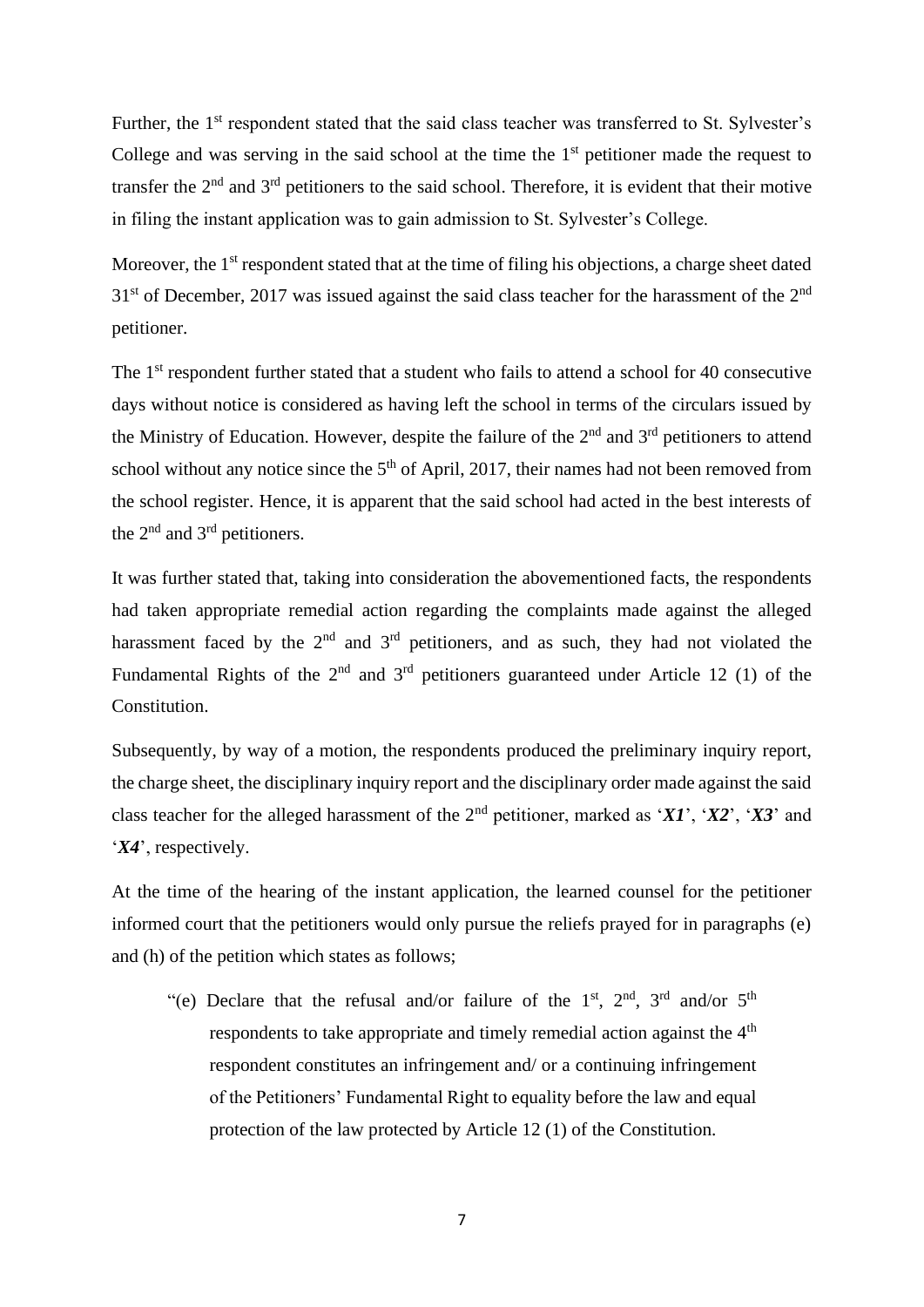Further, the 1<sup>st</sup> respondent stated that the said class teacher was transferred to St. Sylvester's College and was serving in the said school at the time the  $1<sup>st</sup>$  petitioner made the request to transfer the 2nd and 3rd petitioners to the said school. Therefore, it is evident that their motive in filing the instant application was to gain admission to St. Sylvester's College.

Moreover, the 1<sup>st</sup> respondent stated that at the time of filing his objections, a charge sheet dated  $31<sup>st</sup>$  of December, 2017 was issued against the said class teacher for the harassment of the  $2<sup>nd</sup>$ petitioner.

The 1<sup>st</sup> respondent further stated that a student who fails to attend a school for 40 consecutive days without notice is considered as having left the school in terms of the circulars issued by the Ministry of Education. However, despite the failure of the  $2<sup>nd</sup>$  and  $3<sup>rd</sup>$  petitioners to attend school without any notice since the  $5<sup>th</sup>$  of April, 2017, their names had not been removed from the school register. Hence, it is apparent that the said school had acted in the best interests of the 2<sup>nd</sup> and 3<sup>rd</sup> petitioners.

It was further stated that, taking into consideration the abovementioned facts, the respondents had taken appropriate remedial action regarding the complaints made against the alleged harassment faced by the  $2<sup>nd</sup>$  and  $3<sup>rd</sup>$  petitioners, and as such, they had not violated the Fundamental Rights of the  $2<sup>nd</sup>$  and  $3<sup>rd</sup>$  petitioners guaranteed under Article 12 (1) of the Constitution.

Subsequently, by way of a motion, the respondents produced the preliminary inquiry report, the charge sheet, the disciplinary inquiry report and the disciplinary order made against the said class teacher for the alleged harassment of the 2nd petitioner, marked as '*X1*', '*X2*', '*X3*' and '*X4*', respectively.

At the time of the hearing of the instant application, the learned counsel for the petitioner informed court that the petitioners would only pursue the reliefs prayed for in paragraphs (e) and (h) of the petition which states as follows;

"(e) Declare that the refusal and/or failure of the 1<sup>st</sup>, 2<sup>nd</sup>, 3<sup>rd</sup> and/or 5<sup>th</sup> respondents to take appropriate and timely remedial action against the  $4<sup>th</sup>$ respondent constitutes an infringement and/ or a continuing infringement of the Petitioners' Fundamental Right to equality before the law and equal protection of the law protected by Article 12 (1) of the Constitution.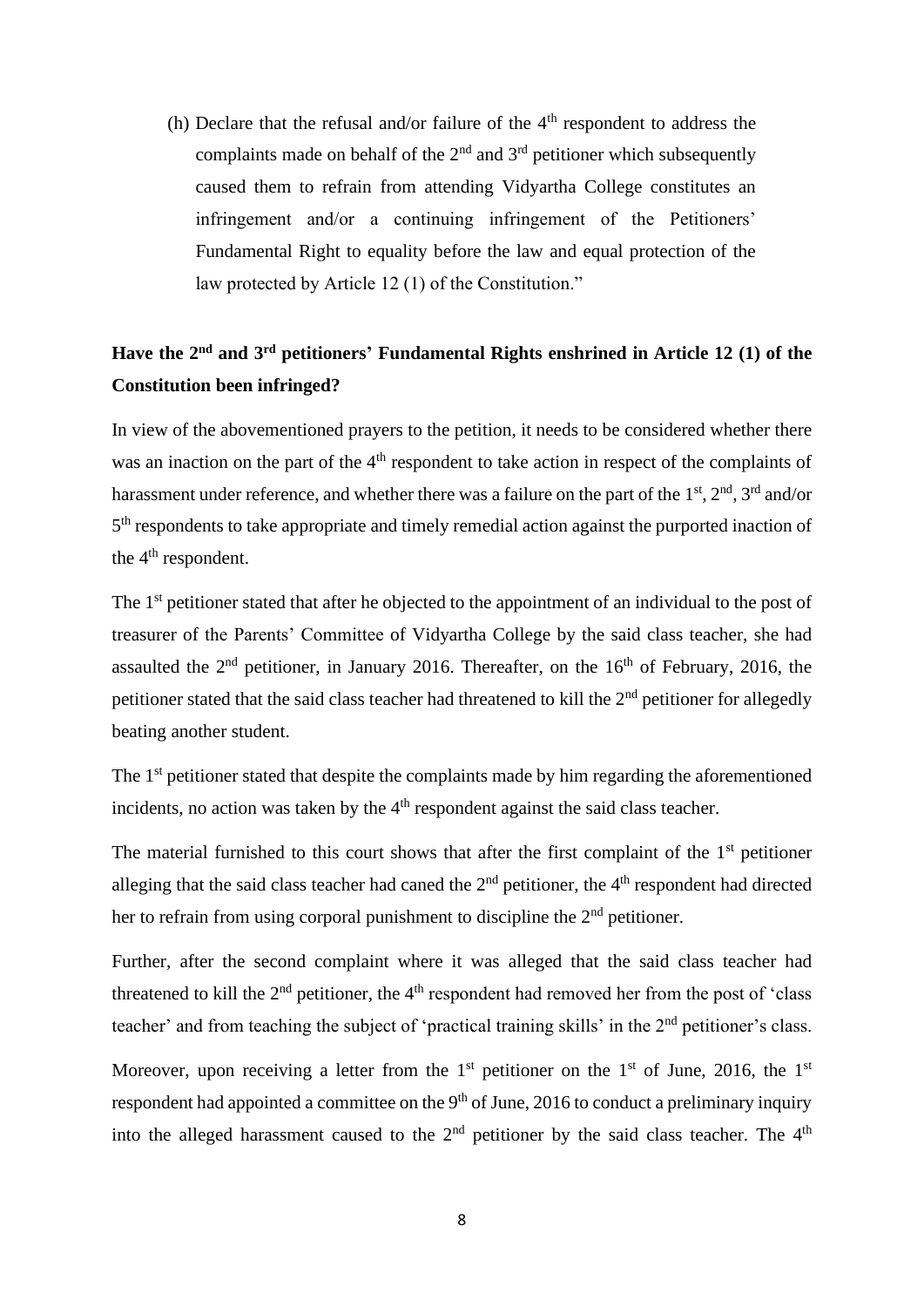(h) Declare that the refusal and/or failure of the  $4<sup>th</sup>$  respondent to address the complaints made on behalf of the  $2<sup>nd</sup>$  and  $3<sup>rd</sup>$  petitioner which subsequently caused them to refrain from attending Vidyartha College constitutes an infringement and/or a continuing infringement of the Petitioners' Fundamental Right to equality before the law and equal protection of the law protected by Article 12 (1) of the Constitution."

# Have the 2<sup>nd</sup> and 3<sup>rd</sup> petitioners' Fundamental Rights enshrined in Article 12 (1) of the **Constitution been infringed?**

In view of the abovementioned prayers to the petition, it needs to be considered whether there was an inaction on the part of the  $4<sup>th</sup>$  respondent to take action in respect of the complaints of harassment under reference, and whether there was a failure on the part of the  $1<sup>st</sup>$ ,  $2<sup>nd</sup>$ ,  $3<sup>rd</sup>$  and/or 5<sup>th</sup> respondents to take appropriate and timely remedial action against the purported inaction of the 4<sup>th</sup> respondent.

The 1<sup>st</sup> petitioner stated that after he objected to the appointment of an individual to the post of treasurer of the Parents' Committee of Vidyartha College by the said class teacher, she had assaulted the  $2<sup>nd</sup>$  petitioner, in January 2016. Thereafter, on the  $16<sup>th</sup>$  of February, 2016, the petitioner stated that the said class teacher had threatened to kill the 2<sup>nd</sup> petitioner for allegedly beating another student.

The 1<sup>st</sup> petitioner stated that despite the complaints made by him regarding the aforementioned incidents, no action was taken by the  $4<sup>th</sup>$  respondent against the said class teacher.

The material furnished to this court shows that after the first complaint of the  $1<sup>st</sup>$  petitioner alleging that the said class teacher had caned the  $2<sup>nd</sup>$  petitioner, the  $4<sup>th</sup>$  respondent had directed her to refrain from using corporal punishment to discipline the 2<sup>nd</sup> petitioner.

Further, after the second complaint where it was alleged that the said class teacher had threatened to kill the  $2<sup>nd</sup>$  petitioner, the  $4<sup>th</sup>$  respondent had removed her from the post of 'class teacher' and from teaching the subject of 'practical training skills' in the 2<sup>nd</sup> petitioner's class.

Moreover, upon receiving a letter from the 1<sup>st</sup> petitioner on the 1<sup>st</sup> of June, 2016, the 1<sup>st</sup> respondent had appointed a committee on the  $9<sup>th</sup>$  of June, 2016 to conduct a preliminary inquiry into the alleged harassment caused to the  $2<sup>nd</sup>$  petitioner by the said class teacher. The  $4<sup>th</sup>$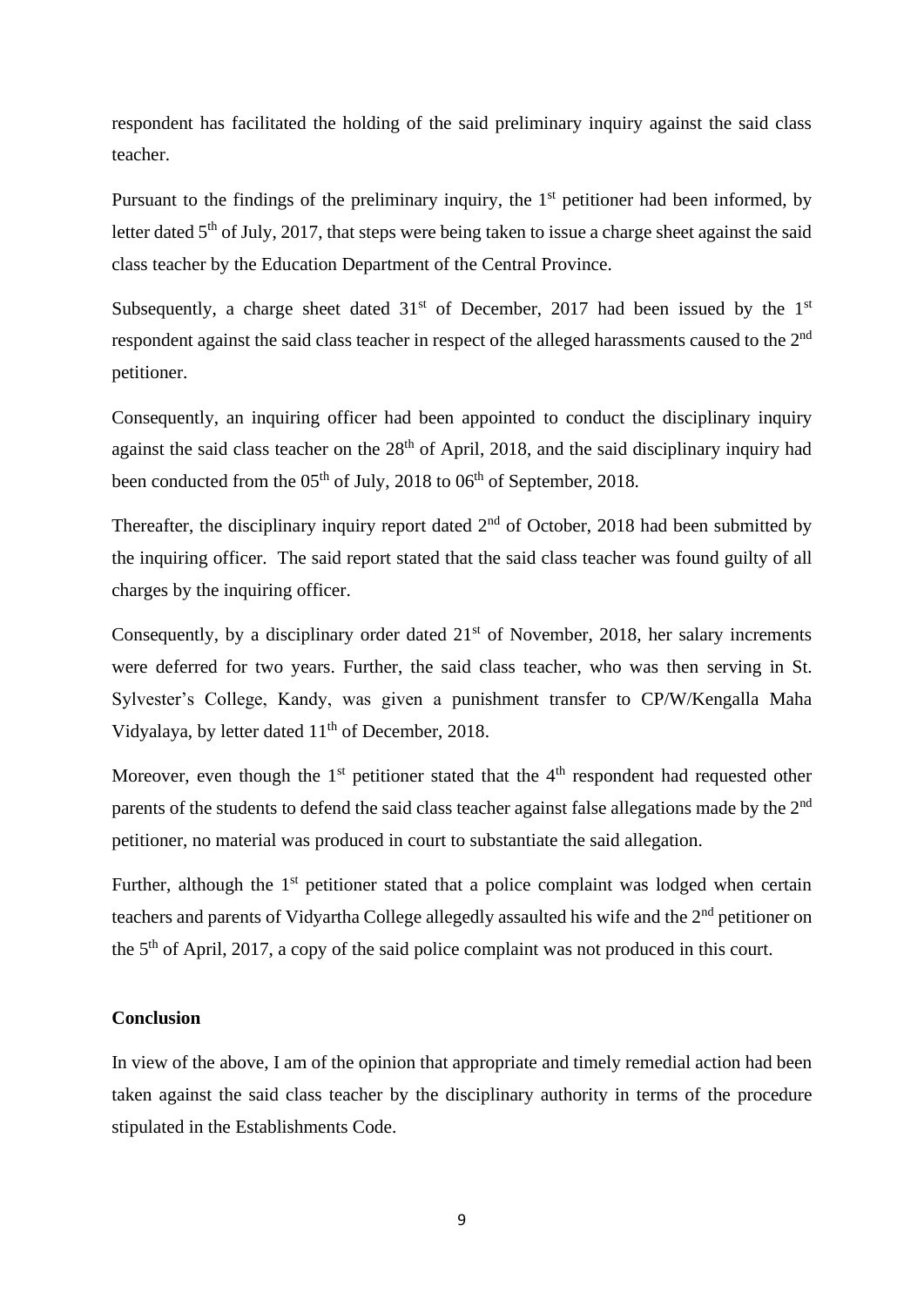respondent has facilitated the holding of the said preliminary inquiry against the said class teacher.

Pursuant to the findings of the preliminary inquiry, the  $1<sup>st</sup>$  petitioner had been informed, by letter dated 5<sup>th</sup> of July, 2017, that steps were being taken to issue a charge sheet against the said class teacher by the Education Department of the Central Province.

Subsequently, a charge sheet dated  $31<sup>st</sup>$  of December, 2017 had been issued by the  $1<sup>st</sup>$ respondent against the said class teacher in respect of the alleged harassments caused to the 2<sup>nd</sup> petitioner.

Consequently, an inquiring officer had been appointed to conduct the disciplinary inquiry against the said class teacher on the  $28<sup>th</sup>$  of April, 2018, and the said disciplinary inquiry had been conducted from the  $05<sup>th</sup>$  of July, 2018 to  $06<sup>th</sup>$  of September, 2018.

Thereafter, the disciplinary inquiry report dated  $2<sup>nd</sup>$  of October, 2018 had been submitted by the inquiring officer. The said report stated that the said class teacher was found guilty of all charges by the inquiring officer.

Consequently, by a disciplinary order dated  $21<sup>st</sup>$  of November, 2018, her salary increments were deferred for two years. Further, the said class teacher, who was then serving in St. Sylvester's College, Kandy, was given a punishment transfer to CP/W/Kengalla Maha Vidyalaya, by letter dated  $11<sup>th</sup>$  of December, 2018.

Moreover, even though the  $1<sup>st</sup>$  petitioner stated that the  $4<sup>th</sup>$  respondent had requested other parents of the students to defend the said class teacher against false allegations made by the 2<sup>nd</sup> petitioner, no material was produced in court to substantiate the said allegation.

Further, although the  $1<sup>st</sup>$  petitioner stated that a police complaint was lodged when certain teachers and parents of Vidyartha College allegedly assaulted his wife and the  $2<sup>nd</sup>$  petitioner on the 5th of April, 2017, a copy of the said police complaint was not produced in this court.

## **Conclusion**

In view of the above, I am of the opinion that appropriate and timely remedial action had been taken against the said class teacher by the disciplinary authority in terms of the procedure stipulated in the Establishments Code.